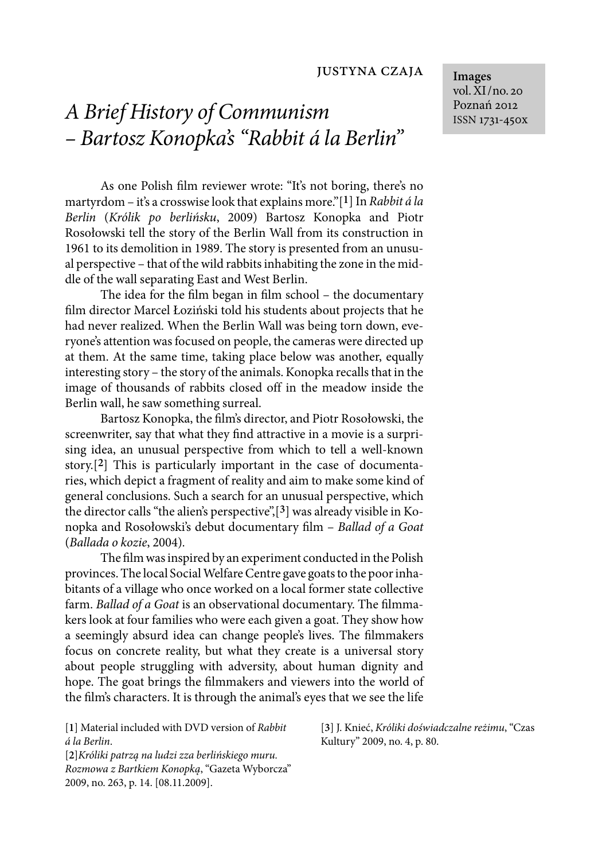## justyna czaja

## *A Brief History of Communism – Bartosz Konopka's "Rabbit á la Berlin"*

As one Polish film reviewer wrote: "It's not boring, there's no martyrdom – it's a crosswise look that explains more."[**1**] In *Rabbit á la Berlin* (*Królik po berlińsku*, 2009) Bartosz Konopka and Piotr Rosołowski tell the story of the Berlin Wall from its construction in 1961 to its demolition in 1989. The story is presented from an unusual perspective – that of the wild rabbits inhabiting the zone in the middle of the wall separating East and West Berlin.

The idea for the film began in film school – the documentary film director Marcel Łoziński told his students about projects that he had never realized. When the Berlin Wall was being torn down, everyone's attention was focused on people, the cameras were directed up at them. At the same time, taking place below was another, equally interesting story – the story of the animals. Konopka recalls that in the image of thousands of rabbits closed off in the meadow inside the Berlin wall, he saw something surreal.

Bartosz Konopka, the film's director, and Piotr Rosołowski, the screenwriter, say that what they find attractive in a movie is a surprising idea, an unusual perspective from which to tell a well-known story.[**2**] This is particularly important in the case of documentaries, which depict a fragment of reality and aim to make some kind of general conclusions. Such a search for an unusual perspective, which the director calls "the alien's perspective",[**3**] was already visible in Konopka and Rosołowski's debut documentary film – *Ballad of a Goat* (*Ballada o kozie*, 2004)*.*

The film was inspired by an experiment conducted in the Polish provinces. The local Social Welfare Centre gave goats to the poor inhabitants of a village who once worked on a local former state collective farm. *Ballad of a Goat* is an observational documentary. The filmmakers look at four families who were each given a goat. They show how a seemingly absurd idea can change people's lives. The filmmakers focus on concrete reality, but what they create is a universal story about people struggling with adversity, about human dignity and hope. The goat brings the filmmakers and viewers into the world of the film's characters. It is through the animal's eyes that we see the life

[**1**] Material included with DVD version of *Rabbit á la Berlin*.

[**2**]*Króliki patrzą na ludzi zza berlińskiego muru. Rozmowa z Bartkiem Konopką*, "Gazeta Wyborcza" 2009, no. 263, p. 14. [08.11.2009].

[**3**] J. Knieć, *Króliki doświadczalne reżimu*, "Czas Kultury" 2009, no. 4, p. 80.

**Images** vol. XI/no. 20 Poznań 2012 ISSN 1731-450x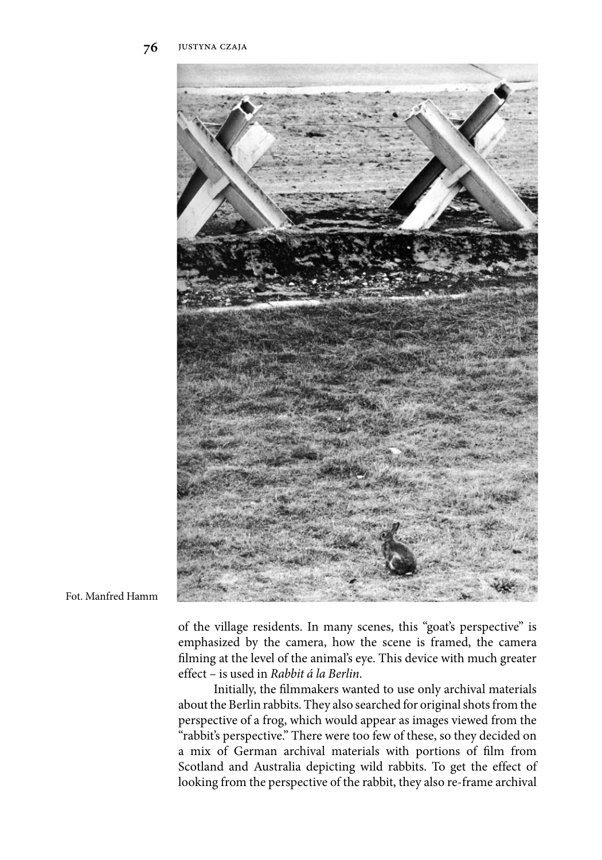

Fot. Manfred Hamm

of the village residents. In many scenes, this "goat's perspective" is emphasized by the camera, how the scene is framed, the camera filming at the level of the animal's eye. This device with much greater effect – is used in *Rabbit á la Berlin*.

Initially, the filmmakers wanted to use only archival materials about the Berlin rabbits. They also searched for original shots from the perspective of a frog, which would appear as images viewed from the "rabbit's perspective." There were too few of these, so they decided on a mix of German archival materials with portions of film from Scotland and Australia depicting wild rabbits. To get the effect of looking from the perspective of the rabbit, they also re-frame archival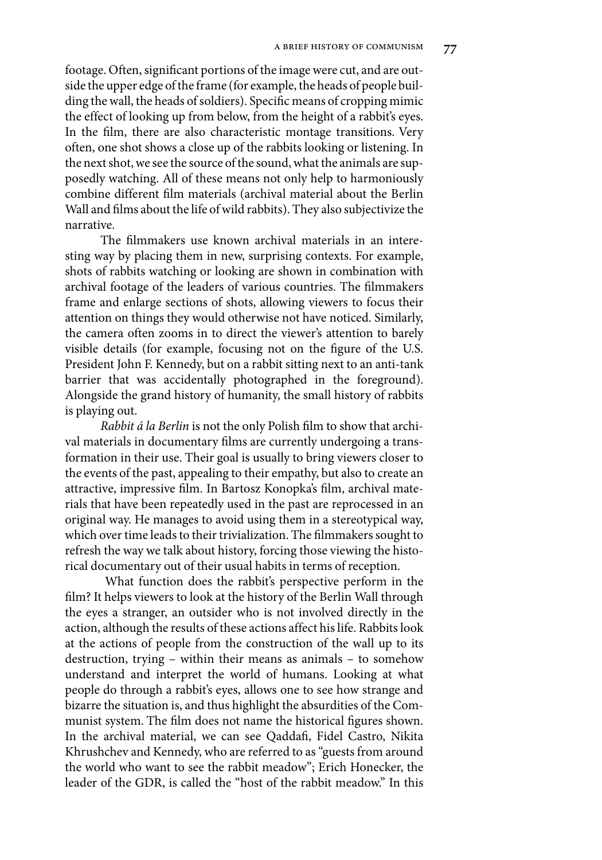footage. Often, significant portions of the image were cut, and are outside the upper edge of the frame (for example, the heads of people building the wall, the heads of soldiers). Specific means of cropping mimic the effect of looking up from below, from the height of a rabbit's eyes. In the film, there are also characteristic montage transitions. Very often, one shot shows a close up of the rabbits looking or listening. In the next shot, we see the source of the sound, what the animals are supposedly watching. All of these means not only help to harmoniously combine different film materials (archival material about the Berlin Wall and films about the life of wild rabbits). They also subjectivize the narrative.

The filmmakers use known archival materials in an interesting way by placing them in new, surprising contexts. For example, shots of rabbits watching or looking are shown in combination with archival footage of the leaders of various countries. The filmmakers frame and enlarge sections of shots, allowing viewers to focus their attention on things they would otherwise not have noticed. Similarly, the camera often zooms in to direct the viewer's attention to barely visible details (for example, focusing not on the figure of the U.S. President John F. Kennedy, but on a rabbit sitting next to an anti-tank barrier that was accidentally photographed in the foreground). Alongside the grand history of humanity, the small history of rabbits is playing out.

*Rabbit á la Berlin* is not the only Polish film to show that archival materials in documentary films are currently undergoing a transformation in their use. Their goal is usually to bring viewers closer to the events of the past, appealing to their empathy, but also to create an attractive, impressive film. In Bartosz Konopka's film, archival materials that have been repeatedly used in the past are reprocessed in an original way. He manages to avoid using them in a stereotypical way, which over time leads to their trivialization. The filmmakers sought to refresh the way we talk about history, forcing those viewing the historical documentary out of their usual habits in terms of reception.

What function does the rabbit's perspective perform in the film? It helps viewers to look at the history of the Berlin Wall through the eyes a stranger, an outsider who is not involved directly in the action, although the results of these actions affect his life. Rabbits look at the actions of people from the construction of the wall up to its destruction, trying – within their means as animals – to somehow understand and interpret the world of humans. Looking at what people do through a rabbit's eyes, allows one to see how strange and bizarre the situation is, and thus highlight the absurdities of the Communist system. The film does not name the historical figures shown. In the archival material, we can see Qaddafi, Fidel Castro, Nikita Khrushchev and Kennedy, who are referred to as "guests from around the world who want to see the rabbit meadow"; Erich Honecker, the leader of the GDR, is called the "host of the rabbit meadow." In this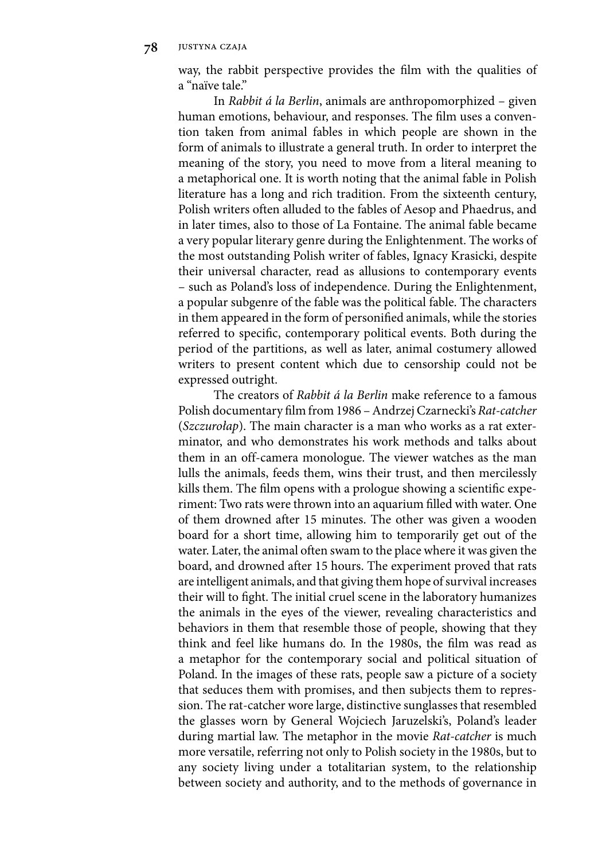way, the rabbit perspective provides the film with the qualities of a "naïve tale."

In *Rabbit á la Berlin*, animals are anthropomorphized – given human emotions, behaviour, and responses. The film uses a convention taken from animal fables in which people are shown in the form of animals to illustrate a general truth. In order to interpret the meaning of the story, you need to move from a literal meaning to a metaphorical one. It is worth noting that the animal fable in Polish literature has a long and rich tradition. From the sixteenth century, Polish writers often alluded to the fables of Aesop and Phaedrus, and in later times, also to those of La Fontaine. The animal fable became a very popular literary genre during the Enlightenment. The works of the most outstanding Polish writer of fables, Ignacy Krasicki, despite their universal character, read as allusions to contemporary events – such as Poland's loss of independence. During the Enlightenment, a popular subgenre of the fable was the political fable. The characters in them appeared in the form of personified animals, while the stories referred to specific, contemporary political events. Both during the period of the partitions, as well as later, animal costumery allowed writers to present content which due to censorship could not be expressed outright.

The creators of *Rabbit á la Berlin* make reference to a famous Polish documentary film from 1986 – Andrzej Czarnecki's *Rat-catcher* (*Szczurołap*). The main character is a man who works as a rat exterminator, and who demonstrates his work methods and talks about them in an off-camera monologue. The viewer watches as the man lulls the animals, feeds them, wins their trust, and then mercilessly kills them. The film opens with a prologue showing a scientific experiment: Two rats were thrown into an aquarium filled with water. One of them drowned after 15 minutes. The other was given a wooden board for a short time, allowing him to temporarily get out of the water. Later, the animal often swam to the place where it was given the board, and drowned after 15 hours. The experiment proved that rats are intelligent animals, and that giving them hope of survival increases their will to fight. The initial cruel scene in the laboratory humanizes the animals in the eyes of the viewer, revealing characteristics and behaviors in them that resemble those of people, showing that they think and feel like humans do. In the 1980s, the film was read as a metaphor for the contemporary social and political situation of Poland. In the images of these rats, people saw a picture of a society that seduces them with promises, and then subjects them to repression. The rat-catcher wore large, distinctive sunglasses that resembled the glasses worn by General Wojciech Jaruzelski's, Poland's leader during martial law. The metaphor in the movie *Rat-catcher* is much more versatile, referring not only to Polish society in the 1980s, but to any society living under a totalitarian system, to the relationship between society and authority, and to the methods of governance in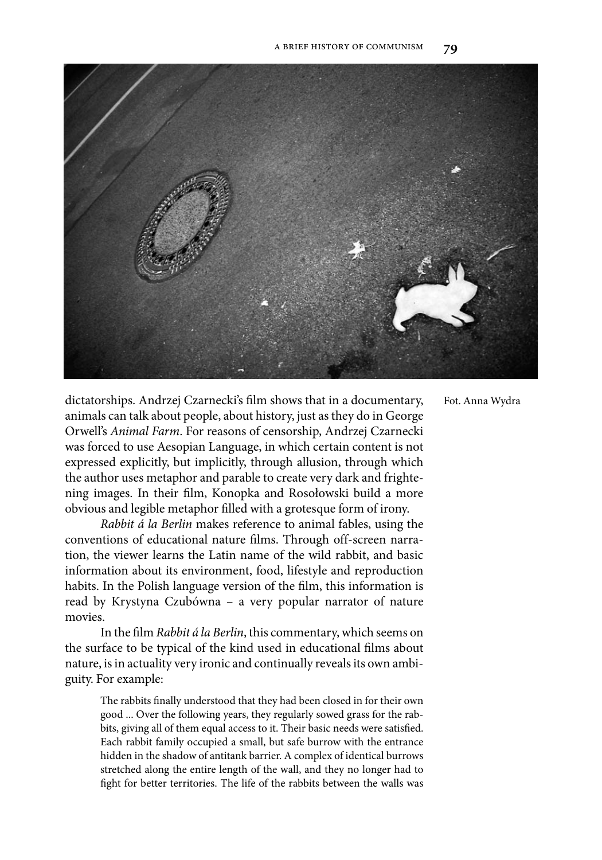

dictatorships. Andrzej Czarnecki's film shows that in a documentary, animals can talk about people, about history, just as they do in George Orwell's *Animal Farm*. For reasons of censorship, Andrzej Czarnecki was forced to use Aesopian Language, in which certain content is not expressed explicitly, but implicitly, through allusion, through which the author uses metaphor and parable to create very dark and frightening images. In their film, Konopka and Rosołowski build a more obvious and legible metaphor filled with a grotesque form of irony.

*Rabbit á la Berlin* makes reference to animal fables, using the conventions of educational nature films. Through off-screen narration, the viewer learns the Latin name of the wild rabbit, and basic information about its environment, food, lifestyle and reproduction habits. In the Polish language version of the film, this information is read by Krystyna Czubówna – a very popular narrator of nature movies.

In the film *Rabbit á la Berlin*, this commentary, which seems on the surface to be typical of the kind used in educational films about nature, is in actuality very ironic and continually reveals its own ambiguity. For example:

The rabbits finally understood that they had been closed in for their own good ... Over the following years, they regularly sowed grass for the rabbits, giving all of them equal access to it. Their basic needs were satisfied. Each rabbit family occupied a small, but safe burrow with the entrance hidden in the shadow of antitank barrier. A complex of identical burrows stretched along the entire length of the wall, and they no longer had to fight for better territories. The life of the rabbits between the walls was Fot. Anna Wydra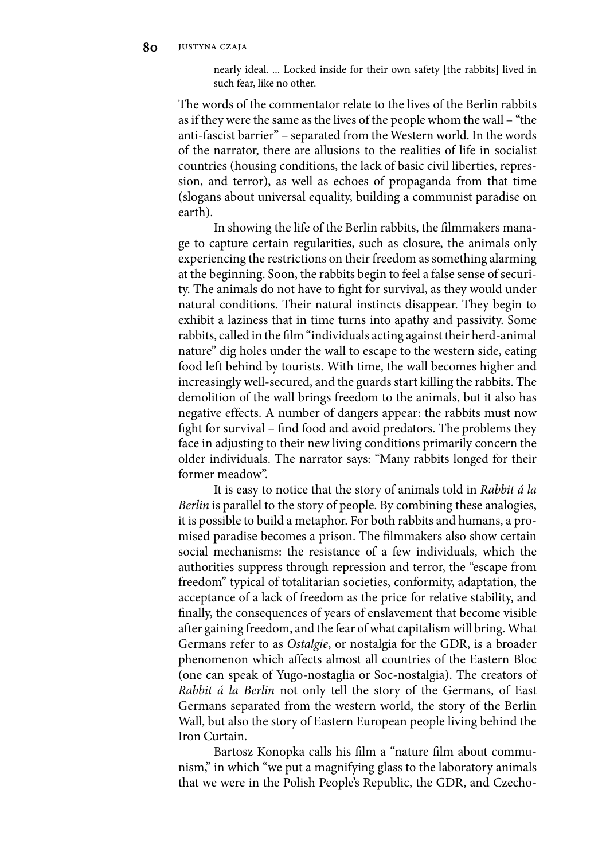nearly ideal. ... Locked inside for their own safety [the rabbits] lived in such fear, like no other.

The words of the commentator relate to the lives of the Berlin rabbits as if they were the same as the lives of the people whom the wall – "the anti-fascist barrier" – separated from the Western world. In the words of the narrator, there are allusions to the realities of life in socialist countries (housing conditions, the lack of basic civil liberties, repression, and terror), as well as echoes of propaganda from that time (slogans about universal equality, building a communist paradise on earth).

In showing the life of the Berlin rabbits, the filmmakers manage to capture certain regularities, such as closure, the animals only experiencing the restrictions on their freedom as something alarming at the beginning. Soon, the rabbits begin to feel a false sense of security. The animals do not have to fight for survival, as they would under natural conditions. Their natural instincts disappear. They begin to exhibit a laziness that in time turns into apathy and passivity. Some rabbits, called in the film "individuals acting against their herd-animal nature" dig holes under the wall to escape to the western side, eating food left behind by tourists. With time, the wall becomes higher and increasingly well-secured, and the guards start killing the rabbits. The demolition of the wall brings freedom to the animals, but it also has negative effects. A number of dangers appear: the rabbits must now fight for survival – find food and avoid predators. The problems they face in adjusting to their new living conditions primarily concern the older individuals. The narrator says: "Many rabbits longed for their former meadow".

It is easy to notice that the story of animals told in *Rabbit á la Berlin* is parallel to the story of people. By combining these analogies, it is possible to build a metaphor. For both rabbits and humans, a promised paradise becomes a prison. The filmmakers also show certain social mechanisms: the resistance of a few individuals, which the authorities suppress through repression and terror, the "escape from freedom" typical of totalitarian societies, conformity, adaptation, the acceptance of a lack of freedom as the price for relative stability, and finally, the consequences of years of enslavement that become visible after gaining freedom, and the fear of what capitalism will bring. What Germans refer to as *Ostalgie*, or nostalgia for the GDR, is a broader phenomenon which affects almost all countries of the Eastern Bloc (one can speak of Yugo-nostaglia or Soc-nostalgia). The creators of *Rabbit á la Berlin* not only tell the story of the Germans, of East Germans separated from the western world, the story of the Berlin Wall, but also the story of Eastern European people living behind the Iron Curtain.

Bartosz Konopka calls his film a "nature film about communism," in which "we put a magnifying glass to the laboratory animals that we were in the Polish People's Republic, the GDR, and Czecho